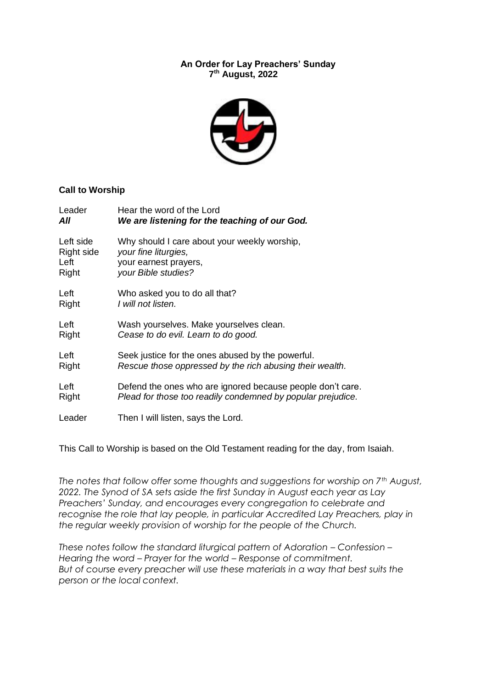# **An Order for Lay Preachers' Sunday 7 th August, 2022**



# **Call to Worship**

| Leader     | Hear the word of the Lord                                   |
|------------|-------------------------------------------------------------|
| All        | We are listening for the teaching of our God.               |
| Left side  | Why should I care about your weekly worship,                |
| Right side | your fine liturgies,                                        |
| Left       | your earnest prayers,                                       |
| Right      | your Bible studies?                                         |
| Left       | Who asked you to do all that?                               |
| Right      | I will not listen.                                          |
| Left       | Wash yourselves. Make yourselves clean.                     |
| Right      | Cease to do evil. Learn to do good.                         |
| Left       | Seek justice for the ones abused by the powerful.           |
| Right      | Rescue those oppressed by the rich abusing their wealth.    |
| Left       | Defend the ones who are ignored because people don't care.  |
| Right      | Plead for those too readily condemned by popular prejudice. |
| Leader     | Then I will listen, says the Lord.                          |

This Call to Worship is based on the Old Testament reading for the day, from Isaiah.

*The notes that follow offer some thoughts and suggestions for worship on 7th August, 2022. The Synod of SA sets aside the first Sunday in August each year as Lay Preachers' Sunday, and encourages every congregation to celebrate and*  recognise the role that lay people, in particular Accredited Lay Preachers, play in *the regular weekly provision of worship for the people of the Church.*

*These notes follow the standard liturgical pattern of Adoration – Confession – Hearing the word – Prayer for the world – Response of commitment. But of course every preacher will use these materials in a way that best suits the person or the local context.*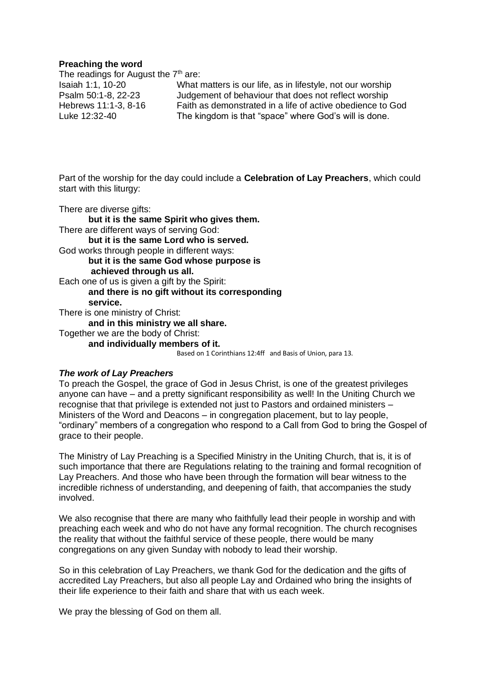### **Preaching the word**

The readings for August the  $7<sup>th</sup>$  are:

Isaiah 1:1, 10-20 What matters is our life, as in lifestyle, not our worship Psalm 50:1-8, 22-23 Judgement of behaviour that does not reflect worship Hebrews 11:1-3, 8-16 Faith as demonstrated in a life of active obedience to God Luke 12:32-40 The kingdom is that "space" where God's will is done.

Part of the worship for the day could include a **Celebration of Lay Preachers**, which could start with this liturgy:

There are diverse gifts:

**but it is the same Spirit who gives them.** There are different ways of serving God: **but it is the same Lord who is served.** God works through people in different ways: **but it is the same God whose purpose is achieved through us all.** Each one of us is given a gift by the Spirit: **and there is no gift without its corresponding service.** There is one ministry of Christ: **and in this ministry we all share.** Together we are the body of Christ: **and individually members of it.**

Based on 1 Corinthians 12:4ff and Basis of Union, para 13.

#### *The work of Lay Preachers*

To preach the Gospel, the grace of God in Jesus Christ, is one of the greatest privileges anyone can have – and a pretty significant responsibility as well! In the Uniting Church we recognise that that privilege is extended not just to Pastors and ordained ministers – Ministers of the Word and Deacons – in congregation placement, but to lay people, "ordinary" members of a congregation who respond to a Call from God to bring the Gospel of grace to their people.

The Ministry of Lay Preaching is a Specified Ministry in the Uniting Church, that is, it is of such importance that there are Regulations relating to the training and formal recognition of Lay Preachers. And those who have been through the formation will bear witness to the incredible richness of understanding, and deepening of faith, that accompanies the study involved.

We also recognise that there are many who faithfully lead their people in worship and with preaching each week and who do not have any formal recognition. The church recognises the reality that without the faithful service of these people, there would be many congregations on any given Sunday with nobody to lead their worship.

So in this celebration of Lay Preachers, we thank God for the dedication and the gifts of accredited Lay Preachers, but also all people Lay and Ordained who bring the insights of their life experience to their faith and share that with us each week.

We pray the blessing of God on them all.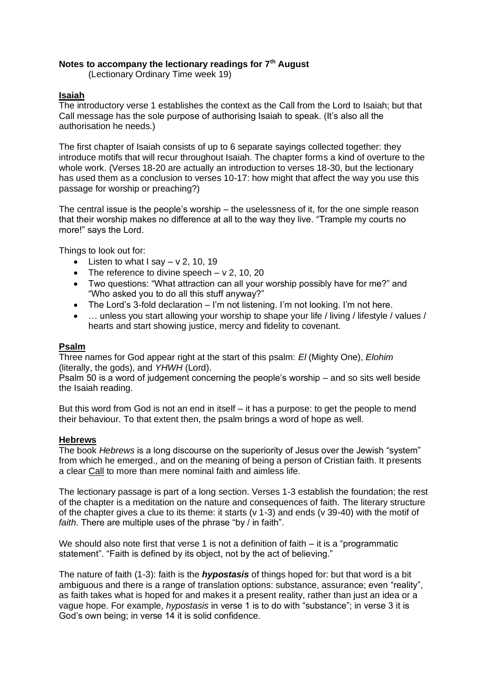# **Notes to accompany the lectionary readings for 7th August**

(Lectionary Ordinary Time week 19)

# **Isaiah**

The introductory verse 1 establishes the context as the Call from the Lord to Isaiah; but that Call message has the sole purpose of authorising Isaiah to speak. (It's also all the authorisation he needs.)

The first chapter of Isaiah consists of up to 6 separate sayings collected together: they introduce motifs that will recur throughout Isaiah. The chapter forms a kind of overture to the whole work. (Verses 18-20 are actually an introduction to verses 18-30, but the lectionary has used them as a conclusion to verses 10-17: how might that affect the way you use this passage for worship or preaching?)

The central issue is the people's worship – the uselessness of it, for the one simple reason that their worship makes no difference at all to the way they live. "Trample my courts no more!" says the Lord.

Things to look out for:

- Listen to what  $\frac{1}{2}$  say  $-\frac{1}{2}$ , 10, 19
- The reference to divine speech  $v 2$ , 10, 20
- Two questions: "What attraction can all your worship possibly have for me?" and "Who asked you to do all this stuff anyway?"
- The Lord's 3-fold declaration I'm not listening. I'm not looking. I'm not here.
- … unless you start allowing your worship to shape your life / living / lifestyle / values / hearts and start showing justice, mercy and fidelity to covenant.

### **Psalm**

Three names for God appear right at the start of this psalm: *El* (Mighty One), *Elohim*  (literally, the gods), and *YHWH* (Lord).

Psalm 50 is a word of judgement concerning the people's worship – and so sits well beside the Isaiah reading.

But this word from God is not an end in itself – it has a purpose: to get the people to mend their behaviour. To that extent then, the psalm brings a word of hope as well.

#### **Hebrews**

The book *Hebrews* is a long discourse on the superiority of Jesus over the Jewish "system" from which he emerged., and on the meaning of being a person of Cristian faith. It presents a clear Call to more than mere nominal faith and aimless life.

The lectionary passage is part of a long section. Verses 1-3 establish the foundation; the rest of the chapter is a meditation on the nature and consequences of faith. The literary structure of the chapter gives a clue to its theme: it starts (v 1-3) and ends (v 39-40) with the motif of *faith*. There are multiple uses of the phrase "by / in faith".

We should also note first that verse 1 is not a definition of faith – it is a "programmatic" statement". "Faith is defined by its object, not by the act of believing."

The nature of faith (1-3): faith is the *hypostasis* of things hoped for: but that word is a bit ambiguous and there is a range of translation options: substance, assurance; even "reality", as faith takes what is hoped for and makes it a present reality, rather than just an idea or a vague hope. For example, *hypostasis* in verse 1 is to do with "substance"; in verse 3 it is God's own being; in verse 14 it is solid confidence.